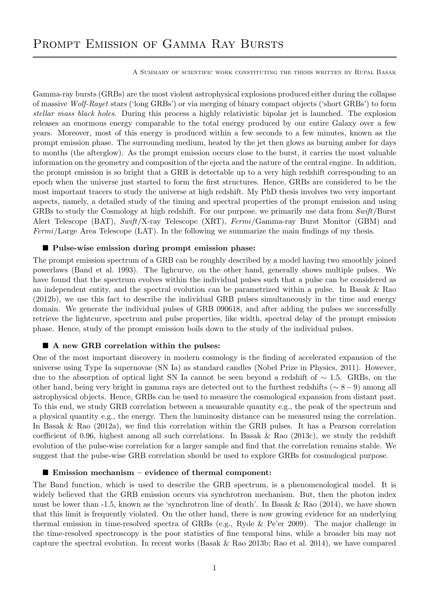# PROMPT EMISSION OF GAMMA RAY BURSTS

A Summary of scientific work constituting the thesis written by Rupal Basak

Gamma-ray bursts (GRBs) are the most violent astrophysical explosions produced either during the collapse of massive Wolf-Rayet stars ('long GRBs') or via merging of binary compact objects ('short GRBs') to form stellar mass black holes. During this process a highly relativistic bipolar jet is launched. The explosion releases an enormous energy comparable to the total energy produced by our entire Galaxy over a few years. Moreover, most of this energy is produced within a few seconds to a few minutes, known as the prompt emission phase. The surrounding medium, heated by the jet then glows as burning amber for days to months (the afterglow). As the prompt emission occurs close to the burst, it carries the most valuable information on the geometry and composition of the ejecta and the nature of the central engine. In addition, the prompt emission is so bright that a GRB is detectable up to a very high redshift corresponding to an epoch when the universe just started to form the first structures. Hence, GRBs are considered to be the most important tracers to study the universe at high redshift. My PhD thesis involves two very important aspects, namely, a detailed study of the timing and spectral properties of the prompt emission and using GRBs to study the Cosmology at high redshift. For our purpose, we primarily use data from Swift/Burst Alert Telescope (BAT), Swift/X-ray Telescope (XRT), Fermi/Gamma-ray Burst Monitor (GBM) and Fermi/Large Area Telescope (LAT). In the following we summarize the main findings of my thesis.

#### **Pulse-wise emission during prompt emission phase:**

The prompt emission spectrum of a GRB can be roughly described by a model having two smoothly joined powerlaws (Band et al. 1993). The lighcurve, on the other hand, generally shows multiple pulses. We have found that the spectrum evolves within the individual pulses such that a pulse can be considered as an independent entity, and the spectral evolution can be parametrized within a pulse. In Basak & Rao (2012b), we use this fact to describe the individual GRB pulses simultaneously in the time and energy domain. We generate the individual pulses of GRB 090618, and after adding the pulses we successfully retrieve the lightcurve, spectrum and pulse properties, like width, spectral delay of the prompt emission phase. Hence, study of the prompt emission boils down to the study of the individual pulses.

### ■ A new GRB correlation within the pulses:

One of the most important discovery in modern cosmology is the finding of accelerated expansion of the universe using Type Ia supernovae (SN Ia) as standard candles (Nobel Prize in Physics, 2011). However, due to the absorption of optical light SN Ia cannot be seen beyond a redshift of ∼ 1.5. GRBs, on the other hand, being very bright in gamma rays are detected out to the furthest redshifts (∼ 8− 9) among all astrophysical objects. Hence, GRBs can be used to measure the cosmological expansion from distant past. To this end, we study GRB correlation between a measurable quantity e.g., the peak of the spectrum and a physical quantity e.g., the energy. Then the luminosity distance can be measured using the correlation. In Basak & Rao (2012a), we find this correlation within the GRB pulses. It has a Pearson correlation coefficient of 0.96, highest among all such correlations. In Basak & Rao  $(2013c)$ , we study the redshift evolution of the pulse-wise correlation for a larger sample and find that the correlation remains stable. We suggest that the pulse-wise GRB correlation should be used to explore GRBs for cosmological purpose.

#### $\blacksquare$  Emission mechanism – evidence of thermal component:

The Band function, which is used to describe the GRB spectrum, is a phenomenological model. It is widely believed that the GRB emission occurs via synchrotron mechanism. But, then the photon index must be lower than  $-1.5$ , known as the 'synchrotron line of death'. In Basak & Rao (2014), we have shown that this limit is frequently violated. On the other hand, there is now growing evidence for an underlying thermal emission in time-resolved spectra of GRBs (e.g., Ryde & Pe'er 2009). The major challenge in the time-resolved spectroscopy is the poor statistics of fine temporal bins, while a broader bin may not capture the spectral evolution. In recent works (Basak & Rao 2013b; Rao et al. 2014), we have compared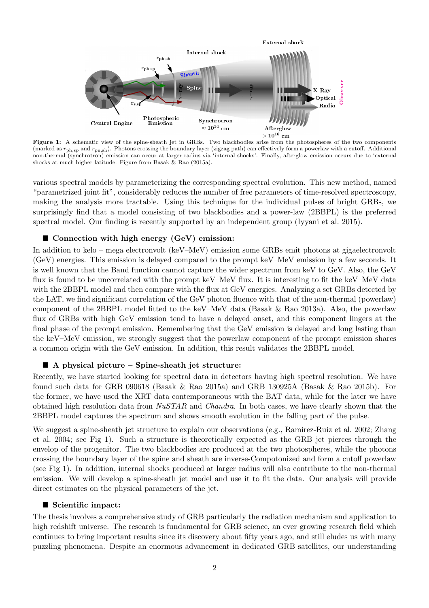

Figure 1: A schematic view of the spine-sheath jet in GRBs. Two blackbodies arise from the photospheres of the two components (marked as  $r_{\text{ph},sp}$  and  $r_{\text{pn},sh}$ ). Photons crossing the boundary layer (zigzag path) can effectively form a powerlaw with a cutoff. Additional non-thermal (synchrotron) emission can occur at larger radius via 'internal shocks'. Finally, afterglow emission occurs due to 'external shocks at much higher latitude. Figure from Basak & Rao (2015a).

various spectral models by parameterizing the corresponding spectral evolution. This new method, named "parametrized joint fit", considerably reduces the number of free parameters of time-resolved spectroscopy, making the analysis more tractable. Using this technique for the individual pulses of bright GRBs, we surprisingly find that a model consisting of two blackbodies and a power-law (2BBPL) is the preferred spectral model. Our finding is recently supported by an independent group (Iyyani et al. 2015).

## **Connection with high energy (GeV) emission:**

In addition to kelo – mega electronvolt (keV–MeV) emission some GRBs emit photons at gigaelectronvolt (GeV) energies. This emission is delayed compared to the prompt keV–MeV emission by a few seconds. It is well known that the Band function cannot capture the wider spectrum from keV to GeV. Also, the GeV flux is found to be uncorrelated with the prompt keV–MeV flux. It is interesting to fit the keV–MeV data with the 2BBPL model and then compare with the flux at GeV energies. Analyzing a set GRBs detected by the LAT, we find significant correlation of the GeV photon fluence with that of the non-thermal (powerlaw) component of the 2BBPL model fitted to the keV–MeV data (Basak & Rao 2013a). Also, the powerlaw flux of GRBs with high GeV emission tend to have a delayed onset, and this component lingers at the final phase of the prompt emission. Remembering that the GeV emission is delayed and long lasting than the keV–MeV emission, we strongly suggest that the powerlaw component of the prompt emission shares a common origin with the GeV emission. In addition, this result validates the 2BBPL model.

### $\blacksquare$  A physical picture – Spine-sheath jet structure:

Recently, we have started looking for spectral data in detectors having high spectral resolution. We have found such data for GRB 090618 (Basak & Rao 2015a) and GRB 130925A (Basak & Rao 2015b). For the former, we have used the XRT data contemporaneous with the BAT data, while for the later we have obtained high resolution data from  $NuSTAR$  and *Chandra*. In both cases, we have clearly shown that the 2BBPL model captures the spectrum and shows smooth evolution in the falling part of the pulse.

We suggest a spine-sheath jet structure to explain our observations (e.g., Ramirez-Ruiz et al. 2002; Zhang et al. 2004; see Fig 1). Such a structure is theoretically expected as the GRB jet pierces through the envelop of the progenitor. The two blackbodies are produced at the two photospheres, while the photons crossing the boundary layer of the spine and sheath are inverse-Compotonized and form a cutoff powerlaw (see Fig 1). In addition, internal shocks produced at larger radius will also contribute to the non-thermal emission. We will develop a spine-sheath jet model and use it to fit the data. Our analysis will provide direct estimates on the physical parameters of the jet.

### Scientific impact:

The thesis involves a comprehensive study of GRB particularly the radiation mechanism and application to high redshift universe. The research is fundamental for GRB science, an ever growing research field which continues to bring important results since its discovery about fifty years ago, and still eludes us with many puzzling phenomena. Despite an enormous advancement in dedicated GRB satellites, our understanding